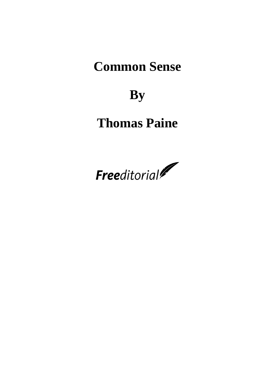## **Common Sense**

## **By**

# **Thomas Paine**

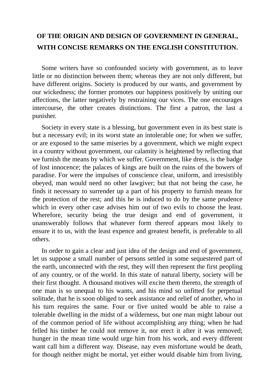### **OF THE ORIGIN AND DESIGN OF GOVERNMENT IN GENERAL, WITH CONCISE REMARKS ON THE ENGLISH CONSTITUTION.**

Some writers have so confounded society with government, as to leave little or no distinction between them; whereas they are not only different, but have different origins. Society is produced by our wants, and government by our wickedness; the former promotes our happiness positively by uniting our affections, the latter negatively by restraining our vices. The one encourages intercourse, the other creates distinctions. The first a patron, the last a punisher.

Society in every state is a blessing, but government even in its best state is but a necessary evil; in its worst state an intolerable one; for when we suffer, or are exposed to the same miseries by a government, which we might expect in a country without government, our calamity is heightened by reflecting that we furnish the means by which we suffer. Government, like dress, is the badge of lost innocence; the palaces of kings are built on the ruins of the bowers of paradise. For were the impulses of conscience clear, uniform, and irresistibly obeyed, man would need no other lawgiver; but that not being the case, he finds it necessary to surrender up a part of his property to furnish means for the protection of the rest; and this he is induced to do by the same prudence which in every other case advises him out of two evils to choose the least. Wherefore, security being the true design and end of government, it unanswerably follows that whatever form thereof appears most likely to ensure it to us, with the least expence and greatest benefit, is preferable to all others.

In order to gain a clear and just idea of the design and end of government, let us suppose a small number of persons settled in some sequestered part of the earth, unconnected with the rest, they will then represent the first peopling of any country, or of the world. In this state of natural liberty, society will be their first thought. A thousand motives will excite them thereto, the strength of one man is so unequal to his wants, and his mind so unfitted for perpetual solitude, that he is soon obliged to seek assistance and relief of another, who in his turn requires the same. Four or five united would be able to raise a tolerable dwelling in the midst of a wilderness, but one man might labour out of the common period of life without accomplishing any thing; when he had felled his timber he could not remove it, nor erect it after it was removed; hunger in the mean time would urge him from his work, and every different want call him a different way. Disease, nay even misfortune would be death, for though neither might be mortal, yet either would disable him from living,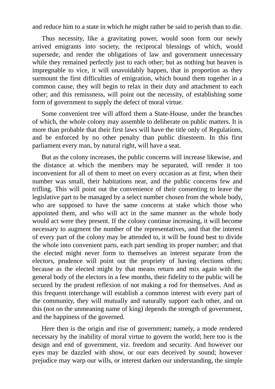and reduce him to a state in which he might rather be said to perish than to die.

Thus necessity, like a gravitating power, would soon form our newly arrived emigrants into society, the reciprocal blessings of which, would supersede, and render the obligations of law and government unnecessary while they remained perfectly just to each other; but as nothing but heaven is impregnable to vice, it will unavoidably happen, that in proportion as they surmount the first difficulties of emigration, which bound them together in a common cause, they will begin to relax in their duty and attachment to each other; and this remissness, will point out the necessity, of establishing some form of government to supply the defect of moral virtue.

Some convenient tree will afford them a State-House, under the branches of which, the whole colony may assemble to deliberate on public matters. It is more than probable that their first laws will have the title only of Regulations, and be enforced by no other penalty than public disesteem. In this first parliament every man, by natural right, will have a seat.

But as the colony increases, the public concerns will increase likewise, and the distance at which the members may be separated, will render it too inconvenient for all of them to meet on every occasion as at first, when their number was small, their habitations near, and the public concerns few and trifling. This will point out the convenience of their consenting to leave the legislative part to be managed by a select number chosen from the whole body, who are supposed to have the same concerns at stake which those who appointed them, and who will act in the same manner as the whole body would act were they present. If the colony continue increasing, it will become necessary to augment the number of the representatives, and that the interest of every part of the colony may be attended to, it will be found best to divide the whole into convenient parts, each part sending its proper number; and that the elected might never form to themselves an interest separate from the electors, prudence will point out the propriety of having elections often; because as the elected might by that means return and mix again with the general body of the electors in a few months, their fidelity to the public will be secured by the prudent reflexion of not making a rod for themselves. And as this frequent interchange will establish a common interest with every part of the community, they will mutually and naturally support each other, and on this (not on the unmeaning name of king) depends the strength of government, and the happiness of the governed.

Here then is the origin and rise of government; namely, a mode rendered necessary by the inability of moral virtue to govern the world; here too is the design and end of government, viz. freedom and security. And however our eyes may be dazzled with show, or our ears deceived by sound; however prejudice may warp our wills, or interest darken our understanding, the simple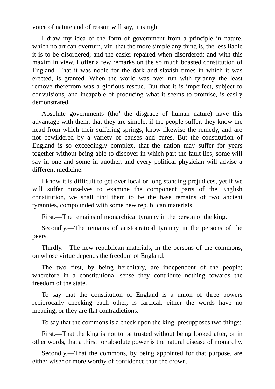voice of nature and of reason will say, it is right.

I draw my idea of the form of government from a principle in nature, which no art can overturn, viz. that the more simple any thing is, the less liable it is to be disordered; and the easier repaired when disordered; and with this maxim in view, I offer a few remarks on the so much boasted constitution of England. That it was noble for the dark and slavish times in which it was erected, is granted. When the world was over run with tyranny the least remove therefrom was a glorious rescue. But that it is imperfect, subject to convulsions, and incapable of producing what it seems to promise, is easily demonstrated.

Absolute governments (tho' the disgrace of human nature) have this advantage with them, that they are simple; if the people suffer, they know the head from which their suffering springs, know likewise the remedy, and are not bewildered by a variety of causes and cures. But the constitution of England is so exceedingly complex, that the nation may suffer for years together without being able to discover in which part the fault lies, some will say in one and some in another, and every political physician will advise a different medicine.

I know it is difficult to get over local or long standing prejudices, yet if we will suffer ourselves to examine the component parts of the English constitution, we shall find them to be the base remains of two ancient tyrannies, compounded with some new republican materials.

First.—The remains of monarchical tyranny in the person of the king.

Secondly.—The remains of aristocratical tyranny in the persons of the peers.

Thirdly.—The new republican materials, in the persons of the commons, on whose virtue depends the freedom of England.

The two first, by being hereditary, are independent of the people; wherefore in a constitutional sense they contribute nothing towards the freedom of the state.

To say that the constitution of England is a union of three powers reciprocally checking each other, is farcical, either the words have no meaning, or they are flat contradictions.

To say that the commons is a check upon the king, presupposes two things:

First.—That the king is not to be trusted without being looked after, or in other words, that a thirst for absolute power is the natural disease of monarchy.

Secondly.—That the commons, by being appointed for that purpose, are either wiser or more worthy of confidence than the crown.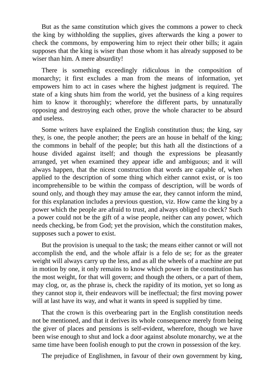But as the same constitution which gives the commons a power to check the king by withholding the supplies, gives afterwards the king a power to check the commons, by empowering him to reject their other bills; it again supposes that the king is wiser than those whom it has already supposed to be wiser than him. A mere absurdity!

There is something exceedingly ridiculous in the composition of monarchy; it first excludes a man from the means of information, yet empowers him to act in cases where the highest judgment is required. The state of a king shuts him from the world, yet the business of a king requires him to know it thoroughly; wherefore the different parts, by unnaturally opposing and destroying each other, prove the whole character to be absurd and useless.

Some writers have explained the English constitution thus; the king, say they, is one, the people another; the peers are an house in behalf of the king; the commons in behalf of the people; but this hath all the distinctions of a house divided against itself; and though the expressions be pleasantly arranged, yet when examined they appear idle and ambiguous; and it will always happen, that the nicest construction that words are capable of, when applied to the description of some thing which either cannot exist, or is too incomprehensible to be within the compass of description, will be words of sound only, and though they may amuse the ear, they cannot inform the mind, for this explanation includes a previous question, viz. How came the king by a power which the people are afraid to trust, and always obliged to check? Such a power could not be the gift of a wise people, neither can any power, which needs checking, be from God; yet the provision, which the constitution makes, supposes such a power to exist.

But the provision is unequal to the task; the means either cannot or will not accomplish the end, and the whole affair is a felo de se; for as the greater weight will always carry up the less, and as all the wheels of a machine are put in motion by one, it only remains to know which power in the constitution has the most weight, for that will govern; and though the others, or a part of them, may clog, or, as the phrase is, check the rapidity of its motion, yet so long as they cannot stop it, their endeavors will be ineffectual; the first moving power will at last have its way, and what it wants in speed is supplied by time.

That the crown is this overbearing part in the English constitution needs not be mentioned, and that it derives its whole consequence merely from being the giver of places and pensions is self-evident, wherefore, though we have been wise enough to shut and lock a door against absolute monarchy, we at the same time have been foolish enough to put the crown in possession of the key.

The prejudice of Englishmen, in favour of their own government by king,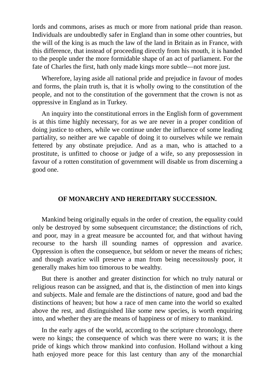lords and commons, arises as much or more from national pride than reason. Individuals are undoubtedly safer in England than in some other countries, but the will of the king is as much the law of the land in Britain as in France, with this difference, that instead of proceeding directly from his mouth, it is handed to the people under the more formidable shape of an act of parliament. For the fate of Charles the first, hath only made kings more subtle—not more just.

Wherefore, laying aside all national pride and prejudice in favour of modes and forms, the plain truth is, that it is wholly owing to the constitution of the people, and not to the constitution of the government that the crown is not as oppressive in England as in Turkey.

An inquiry into the constitutional errors in the English form of government is at this time highly necessary, for as we are never in a proper condition of doing justice to others, while we continue under the influence of some leading partiality, so neither are we capable of doing it to ourselves while we remain fettered by any obstinate prejudice. And as a man, who is attached to a prostitute, is unfitted to choose or judge of a wife, so any prepossession in favour of a rotten constitution of government will disable us from discerning a good one.

#### **OF MONARCHY AND HEREDITARY SUCCESSION.**

Mankind being originally equals in the order of creation, the equality could only be destroyed by some subsequent circumstance; the distinctions of rich, and poor, may in a great measure be accounted for, and that without having recourse to the harsh ill sounding names of oppression and avarice. Oppression is often the consequence, but seldom or never the means of riches; and though avarice will preserve a man from being necessitously poor, it generally makes him too timorous to be wealthy.

But there is another and greater distinction for which no truly natural or religious reason can be assigned, and that is, the distinction of men into kings and subjects. Male and female are the distinctions of nature, good and bad the distinctions of heaven; but how a race of men came into the world so exalted above the rest, and distinguished like some new species, is worth enquiring into, and whether they are the means of happiness or of misery to mankind.

In the early ages of the world, according to the scripture chronology, there were no kings; the consequence of which was there were no wars; it is the pride of kings which throw mankind into confusion. Holland without a king hath enjoyed more peace for this last century than any of the monarchial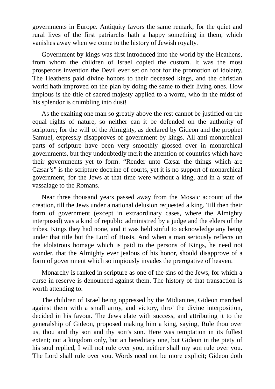governments in Europe. Antiquity favors the same remark; for the quiet and rural lives of the first patriarchs hath a happy something in them, which vanishes away when we come to the history of Jewish royalty.

Government by kings was first introduced into the world by the Heathens, from whom the children of Israel copied the custom. It was the most prosperous invention the Devil ever set on foot for the promotion of idolatry. The Heathens paid divine honors to their deceased kings, and the christian world hath improved on the plan by doing the same to their living ones. How impious is the title of sacred majesty applied to a worm, who in the midst of his splendor is crumbling into dust!

As the exalting one man so greatly above the rest cannot be justified on the equal rights of nature, so neither can it be defended on the authority of scripture; for the will of the Almighty, as declared by Gideon and the prophet Samuel, expressly disapproves of government by kings. All anti-monarchical parts of scripture have been very smoothly glossed over in monarchical governments, but they undoubtedly merit the attention of countries which have their governments yet to form. "Render unto Cæsar the things which are Cæsar's" is the scripture doctrine of courts, yet it is no support of monarchical government, for the Jews at that time were without a king, and in a state of vassalage to the Romans.

Near three thousand years passed away from the Mosaic account of the creation, till the Jews under a national delusion requested a king. Till then their form of government (except in extraordinary cases, where the Almighty interposed) was a kind of republic administred by a judge and the elders of the tribes. Kings they had none, and it was held sinful to acknowledge any being under that title but the Lord of Hosts. And when a man seriously reflects on the idolatrous homage which is paid to the persons of Kings, he need not wonder, that the Almighty ever jealous of his honor, should disapprove of a form of government which so impiously invades the prerogative of heaven.

Monarchy is ranked in scripture as one of the sins of the Jews, for which a curse in reserve is denounced against them. The history of that transaction is worth attending to.

The children of Israel being oppressed by the Midianites, Gideon marched against them with a small army, and victory, thro' the divine interposition, decided in his favour. The Jews elate with success, and attributing it to the generalship of Gideon, proposed making him a king, saying, Rule thou over us, thou and thy son and thy son's son. Here was temptation in its fullest extent; not a kingdom only, but an hereditary one, but Gideon in the piety of his soul replied, I will not rule over you, neither shall my son rule over you. The Lord shall rule over you. Words need not be more explicit; Gideon doth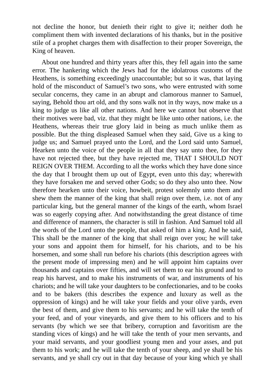not decline the honor, but denieth their right to give it; neither doth he compliment them with invented declarations of his thanks, but in the positive stile of a prophet charges them with disaffection to their proper Sovereign, the King of heaven.

About one hundred and thirty years after this, they fell again into the same error. The hankering which the Jews had for the idolatrous customs of the Heathens, is something exceedingly unaccountable; but so it was, that laying hold of the misconduct of Samuel's two sons, who were entrusted with some secular concerns, they came in an abrupt and clamorous manner to Samuel, saying, Behold thou art old, and thy sons walk not in thy ways, now make us a king to judge us like all other nations. And here we cannot but observe that their motives were bad, viz. that they might be like unto other nations, i.e. the Heathens, whereas their true glory laid in being as much unlike them as possible. But the thing displeased Samuel when they said, Give us a king to judge us; and Samuel prayed unto the Lord, and the Lord said unto Samuel, Hearken unto the voice of the people in all that they say unto thee, for they have not rejected thee, but they have rejected me, THAT I SHOULD NOT REIGN OVER THEM. According to all the works which they have done since the day that I brought them up out of Egypt, even unto this day; wherewith they have forsaken me and served other Gods; so do they also unto thee. Now therefore hearken unto their voice, howbeit, protest solemnly unto them and shew them the manner of the king that shall reign over them, i.e. not of any particular king, but the general manner of the kings of the earth, whom Israel was so eagerly copying after. And notwithstanding the great distance of time and difference of manners, the character is still in fashion. And Samuel told all the words of the Lord unto the people, that asked of him a king. And he said, This shall be the manner of the king that shall reign over you; he will take your sons and appoint them for himself, for his chariots, and to be his horsemen, and some shall run before his chariots (this description agrees with the present mode of impressing men) and he will appoint him captains over thousands and captains over fifties, and will set them to ear his ground and to reap his harvest, and to make his instruments of war, and instruments of his chariots; and he will take your daughters to be confectionaries, and to be cooks and to be bakers (this describes the expence and luxury as well as the oppression of kings) and he will take your fields and your olive yards, even the best of them, and give them to his servants; and he will take the tenth of your feed, and of your vineyards, and give them to his officers and to his servants (by which we see that bribery, corruption and favoritism are the standing vices of kings) and he will take the tenth of your men servants, and your maid servants, and your goodliest young men and your asses, and put them to his work; and he will take the tenth of your sheep, and ye shall be his servants, and ye shall cry out in that day because of your king which ye shall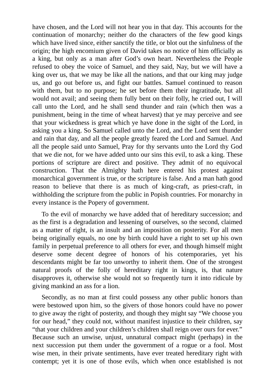have chosen, and the Lord will not hear you in that day. This accounts for the continuation of monarchy; neither do the characters of the few good kings which have lived since, either sanctify the title, or blot out the sinfulness of the origin; the high encomium given of David takes no notice of him officially as a king, but only as a man after God's own heart. Nevertheless the People refused to obey the voice of Samuel, and they said, Nay, but we will have a king over us, that we may be like all the nations, and that our king may judge us, and go out before us, and fight our battles. Samuel continued to reason with them, but to no purpose; he set before them their ingratitude, but all would not avail; and seeing them fully bent on their folly, he cried out, I will call unto the Lord, and he shall send thunder and rain (which then was a punishment, being in the time of wheat harvest) that ye may perceive and see that your wickedness is great which ye have done in the sight of the Lord, in asking you a king. So Samuel called unto the Lord, and the Lord sent thunder and rain that day, and all the people greatly feared the Lord and Samuel. And all the people said unto Samuel, Pray for thy servants unto the Lord thy God that we die not, for we have added unto our sins this evil, to ask a king. These portions of scripture are direct and positive. They admit of no equivocal construction. That the Almighty hath here entered his protest against monarchical government is true, or the scripture is false. And a man hath good reason to believe that there is as much of king-craft, as priest-craft, in withholding the scripture from the public in Popish countries. For monarchy in every instance is the Popery of government.

To the evil of monarchy we have added that of hereditary succession; and as the first is a degradation and lessening of ourselves, so the second, claimed as a matter of right, is an insult and an imposition on posterity. For all men being originally equals, no one by birth could have a right to set up his own family in perpetual preference to all others for ever, and though himself might deserve some decent degree of honors of his cotemporaries, yet his descendants might be far too unworthy to inherit them. One of the strongest natural proofs of the folly of hereditary right in kings, is, that nature disapproves it, otherwise she would not so frequently turn it into ridicule by giving mankind an ass for a lion.

Secondly, as no man at first could possess any other public honors than were bestowed upon him, so the givers of those honors could have no power to give away the right of posterity, and though they might say "We choose you for our head," they could not, without manifest injustice to their children, say "that your children and your children's children shall reign over ours for ever." Because such an unwise, unjust, unnatural compact might (perhaps) in the next succession put them under the government of a rogue or a fool. Most wise men, in their private sentiments, have ever treated hereditary right with contempt; yet it is one of those evils, which when once established is not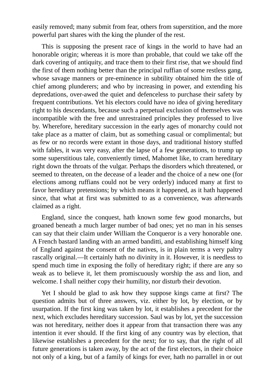easily removed; many submit from fear, others from superstition, and the more powerful part shares with the king the plunder of the rest.

This is supposing the present race of kings in the world to have had an honorable origin; whereas it is more than probable, that could we take off the dark covering of antiquity, and trace them to their first rise, that we should find the first of them nothing better than the principal ruffian of some restless gang, whose savage manners or pre-eminence in subtility obtained him the title of chief among plunderers; and who by increasing in power, and extending his depredations, over-awed the quiet and defenceless to purchase their safety by frequent contributions. Yet his electors could have no idea of giving hereditary right to his descendants, because such a perpetual exclusion of themselves was incompatible with the free and unrestrained principles they professed to live by. Wherefore, hereditary succession in the early ages of monarchy could not take place as a matter of claim, but as something casual or complimental; but as few or no records were extant in those days, and traditional history stuffed with fables, it was very easy, after the lapse of a few generations, to trump up some superstitious tale, conveniently timed, Mahomet like, to cram hereditary right down the throats of the vulgar. Perhaps the disorders which threatened, or seemed to threaten, on the decease of a leader and the choice of a new one (for elections among ruffians could not be very orderly) induced many at first to favor hereditary pretensions; by which means it happened, as it hath happened since, that what at first was submitted to as a convenience, was afterwards claimed as a right.

England, since the conquest, hath known some few good monarchs, but groaned beneath a much larger number of bad ones; yet no man in his senses can say that their claim under William the Conqueror is a very honorable one. A French bastard landing with an armed banditti, and establishing himself king of England against the consent of the natives, is in plain terms a very paltry rascally original.—It certainly hath no divinity in it. However, it is needless to spend much time in exposing the folly of hereditary right; if there are any so weak as to believe it, let them promiscuously worship the ass and lion, and welcome. I shall neither copy their humility, nor disturb their devotion.

Yet I should be glad to ask how they suppose kings came at first? The question admits but of three answers, viz. either by lot, by election, or by usurpation. If the first king was taken by lot, it establishes a precedent for the next, which excludes hereditary succession. Saul was by lot, yet the succession was not hereditary, neither does it appear from that transaction there was any intention it ever should. If the first king of any country was by election, that likewise establishes a precedent for the next; for to say, that the right of all future generations is taken away, by the act of the first electors, in their choice not only of a king, but of a family of kings for ever, hath no parrallel in or out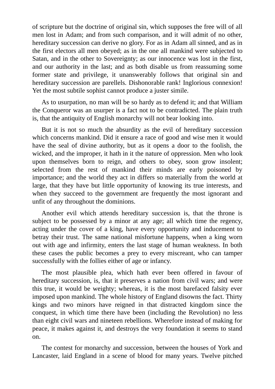of scripture but the doctrine of original sin, which supposes the free will of all men lost in Adam; and from such comparison, and it will admit of no other, hereditary succession can derive no glory. For as in Adam all sinned, and as in the first electors all men obeyed; as in the one all mankind were subjected to Satan, and in the other to Sovereignty; as our innocence was lost in the first, and our authority in the last; and as both disable us from reassuming some former state and privilege, it unanswerably follows that original sin and hereditary succession are parellels. Dishonorable rank! Inglorious connexion! Yet the most subtile sophist cannot produce a juster simile.

As to usurpation, no man will be so hardy as to defend it; and that William the Conqueror was an usurper is a fact not to be contradicted. The plain truth is, that the antiquity of English monarchy will not bear looking into.

But it is not so much the absurdity as the evil of hereditary succession which concerns mankind. Did it ensure a race of good and wise men it would have the seal of divine authority, but as it opens a door to the foolish, the wicked, and the improper, it hath in it the nature of oppression. Men who look upon themselves born to reign, and others to obey, soon grow insolent; selected from the rest of mankind their minds are early poisoned by importance; and the world they act in differs so materially from the world at large, that they have but little opportunity of knowing its true interests, and when they succeed to the government are frequently the most ignorant and unfit of any throughout the dominions.

Another evil which attends hereditary succession is, that the throne is subject to be possessed by a minor at any age; all which time the regency, acting under the cover of a king, have every opportunity and inducement to betray their trust. The same national misfortune happens, when a king worn out with age and infirmity, enters the last stage of human weakness. In both these cases the public becomes a prey to every miscreant, who can tamper successfully with the follies either of age or infancy.

The most plausible plea, which hath ever been offered in favour of hereditary succession, is, that it preserves a nation from civil wars; and were this true, it would be weighty; whereas, it is the most barefaced falsity ever imposed upon mankind. The whole history of England disowns the fact. Thirty kings and two minors have reigned in that distracted kingdom since the conquest, in which time there have been (including the Revolution) no less than eight civil wars and nineteen rebellions. Wherefore instead of making for peace, it makes against it, and destroys the very foundation it seems to stand on.

The contest for monarchy and succession, between the houses of York and Lancaster, laid England in a scene of blood for many years. Twelve pitched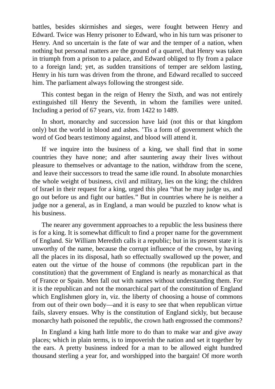battles, besides skirmishes and sieges, were fought between Henry and Edward. Twice was Henry prisoner to Edward, who in his turn was prisoner to Henry. And so uncertain is the fate of war and the temper of a nation, when nothing but personal matters are the ground of a quarrel, that Henry was taken in triumph from a prison to a palace, and Edward obliged to fly from a palace to a foreign land; yet, as sudden transitions of temper are seldom lasting, Henry in his turn was driven from the throne, and Edward recalled to succeed him. The parliament always following the strongest side.

This contest began in the reign of Henry the Sixth, and was not entirely extinguished till Henry the Seventh, in whom the families were united. Including a period of 67 years, viz. from 1422 to 1489.

In short, monarchy and succession have laid (not this or that kingdom only) but the world in blood and ashes. 'Tis a form of government which the word of God bears testimony against, and blood will attend it.

If we inquire into the business of a king, we shall find that in some countries they have none; and after sauntering away their lives without pleasure to themselves or advantage to the nation, withdraw from the scene, and leave their successors to tread the same idle round. In absolute monarchies the whole weight of business, civil and military, lies on the king; the children of Israel in their request for a king, urged this plea "that he may judge us, and go out before us and fight our battles." But in countries where he is neither a judge nor a general, as in England, a man would be puzzled to know what is his business.

The nearer any government approaches to a republic the less business there is for a king. It is somewhat difficult to find a proper name for the government of England. Sir William Meredith calls it a republic; but in its present state it is unworthy of the name, because the corrupt influence of the crown, by having all the places in its disposal, hath so effectually swallowed up the power, and eaten out the virtue of the house of commons (the republican part in the constitution) that the government of England is nearly as monarchical as that of France or Spain. Men fall out with names without understanding them. For it is the republican and not the monarchical part of the constitution of England which Englishmen glory in, viz. the liberty of choosing a house of commons from out of their own body—and it is easy to see that when republican virtue fails, slavery ensues. Why is the constitution of England sickly, but because monarchy hath poisoned the republic, the crown hath engrossed the commons?

In England a king hath little more to do than to make war and give away places; which in plain terms, is to impoverish the nation and set it together by the ears. A pretty business indeed for a man to be allowed eight hundred thousand sterling a year for, and worshipped into the bargain! Of more worth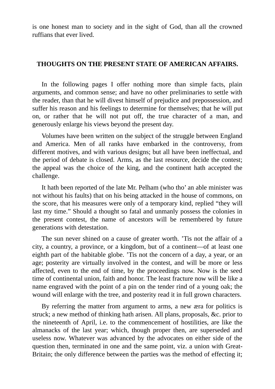is one honest man to society and in the sight of God, than all the crowned ruffians that ever lived.

#### **THOUGHTS ON THE PRESENT STATE OF AMERICAN AFFAIRS.**

In the following pages I offer nothing more than simple facts, plain arguments, and common sense; and have no other preliminaries to settle with the reader, than that he will divest himself of prejudice and prepossession, and suffer his reason and his feelings to determine for themselves; that he will put on, or rather that he will not put off, the true character of a man, and generously enlarge his views beyond the present day.

Volumes have been written on the subject of the struggle between England and America. Men of all ranks have embarked in the controversy, from different motives, and with various designs; but all have been ineffectual, and the period of debate is closed. Arms, as the last resource, decide the contest; the appeal was the choice of the king, and the continent hath accepted the challenge.

It hath been reported of the late Mr. Pelham (who tho' an able minister was not without his faults) that on his being attacked in the house of commons, on the score, that his measures were only of a temporary kind, replied "they will last my time." Should a thought so fatal and unmanly possess the colonies in the present contest, the name of ancestors will be remembered by future generations with detestation.

The sun never shined on a cause of greater worth. 'Tis not the affair of a city, a country, a province, or a kingdom, but of a continent—of at least one eighth part of the habitable globe. 'Tis not the concern of a day, a year, or an age; posterity are virtually involved in the contest, and will be more or less affected, even to the end of time, by the proceedings now. Now is the seed time of continental union, faith and honor. The least fracture now will be like a name engraved with the point of a pin on the tender rind of a young oak; the wound will enlarge with the tree, and posterity read it in full grown characters.

By referring the matter from argument to arms, a new æra for politics is struck; a new method of thinking hath arisen. All plans, proposals, &c. prior to the nineteenth of April, i.e. to the commencement of hostilities, are like the almanacks of the last year; which, though proper then, are superseded and useless now. Whatever was advanced by the advocates on either side of the question then, terminated in one and the same point, viz. a union with Great-Britain; the only difference between the parties was the method of effecting it;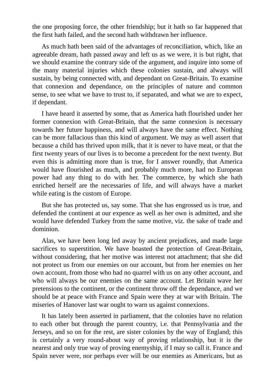the one proposing force, the other friendship; but it hath so far happened that the first hath failed, and the second hath withdrawn her influence.

As much hath been said of the advantages of reconciliation, which, like an agreeable dream, hath passed away and left us as we were, it is but right, that we should examine the contrary side of the argument, and inquire into some of the many material injuries which these colonies sustain, and always will sustain, by being connected with, and dependant on Great-Britain. To examine that connexion and dependance, on the principles of nature and common sense, to see what we have to trust to, if separated, and what we are to expect, if dependant.

I have heard it asserted by some, that as America hath flourished under her former connexion with Great-Britain, that the same connexion is necessary towards her future happiness, and will always have the same effect. Nothing can be more fallacious than this kind of argument. We may as well assert that because a child has thrived upon milk, that it is never to have meat, or that the first twenty years of our lives is to become a precedent for the next twenty. But even this is admitting more than is true, for I answer roundly, that America would have flourished as much, and probably much more, had no European power had any thing to do with her. The commerce, by which she hath enriched herself are the necessaries of life, and will always have a market while eating is the custom of Europe.

But she has protected us, say some. That she has engrossed us is true, and defended the continent at our expence as well as her own is admitted, and she would have defended Turkey from the same motive, viz. the sake of trade and dominion.

Alas, we have been long led away by ancient prejudices, and made large sacrifices to superstition. We have boasted the protection of Great-Britain, without considering, that her motive was interest not attachment; that she did not protect us from our enemies on our account, but from her enemies on her own account, from those who had no quarrel with us on any other account, and who will always be our enemies on the same account. Let Britain wave her pretensions to the continent, or the continent throw off the dependance, and we should be at peace with France and Spain were they at war with Britain. The miseries of Hanover last war ought to warn us against connexions.

It has lately been asserted in parliament, that the colonies have no relation to each other but through the parent country, i.e. that Pennsylvania and the Jerseys, and so on for the rest, are sister colonies by the way of England; this is certainly a very round-about way of proving relationship, but it is the nearest and only true way of proving enemyship, if I may so call it. France and Spain never were, nor perhaps ever will be our enemies as Americans, but as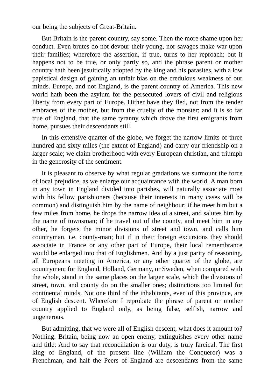our being the subjects of Great-Britain.

But Britain is the parent country, say some. Then the more shame upon her conduct. Even brutes do not devour their young, nor savages make war upon their families; wherefore the assertion, if true, turns to her reproach; but it happens not to be true, or only partly so, and the phrase parent or mother country hath been jesuitically adopted by the king and his parasites, with a low papistical design of gaining an unfair bias on the credulous weakness of our minds. Europe, and not England, is the parent country of America. This new world hath been the asylum for the persecuted lovers of civil and religious liberty from every part of Europe. Hither have they fled, not from the tender embraces of the mother, but from the cruelty of the monster; and it is so far true of England, that the same tyranny which drove the first emigrants from home, pursues their descendants still.

In this extensive quarter of the globe, we forget the narrow limits of three hundred and sixty miles (the extent of England) and carry our friendship on a larger scale; we claim brotherhood with every European christian, and triumph in the generosity of the sentiment.

It is pleasant to observe by what regular gradations we surmount the force of local prejudice, as we enlarge our acquaintance with the world. A man born in any town in England divided into parishes, will naturally associate most with his fellow parishioners (because their interests in many cases will be common) and distinguish him by the name of neighbour; if he meet him but a few miles from home, he drops the narrow idea of a street, and salutes him by the name of townsman; if he travel out of the county, and meet him in any other, he forgets the minor divisions of street and town, and calls him countryman, i.e. county-man; but if in their foreign excursions they should associate in France or any other part of Europe, their local remembrance would be enlarged into that of Englishmen. And by a just parity of reasoning, all Europeans meeting in America, or any other quarter of the globe, are countrymen; for England, Holland, Germany, or Sweden, when compared with the whole, stand in the same places on the larger scale, which the divisions of street, town, and county do on the smaller ones; distinctions too limited for continental minds. Not one third of the inhabitants, even of this province, are of English descent. Wherefore I reprobate the phrase of parent or mother country applied to England only, as being false, selfish, narrow and ungenerous.

But admitting, that we were all of English descent, what does it amount to? Nothing. Britain, being now an open enemy, extinguishes every other name and title: And to say that reconciliation is our duty, is truly farcical. The first king of England, of the present line (William the Conqueror) was a Frenchman, and half the Peers of England are descendants from the same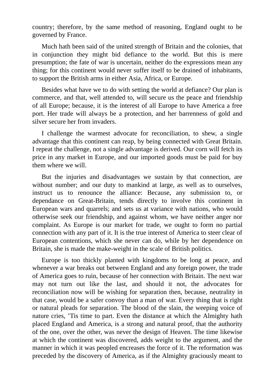country; therefore, by the same method of reasoning, England ought to be governed by France.

Much hath been said of the united strength of Britain and the colonies, that in conjunction they might bid defiance to the world. But this is mere presumption; the fate of war is uncertain, neither do the expressions mean any thing; for this continent would never suffer itself to be drained of inhabitants, to support the British arms in either Asia, Africa, or Europe.

Besides what have we to do with setting the world at defiance? Our plan is commerce, and that, well attended to, will secure us the peace and friendship of all Europe; because, it is the interest of all Europe to have America a free port. Her trade will always be a protection, and her barrenness of gold and silver secure her from invaders.

I challenge the warmest advocate for reconciliation, to shew, a single advantage that this continent can reap, by being connected with Great Britain. I repeat the challenge, not a single advantage is derived. Our corn will fetch its price in any market in Europe, and our imported goods must be paid for buy them where we will.

But the injuries and disadvantages we sustain by that connection, are without number; and our duty to mankind at large, as well as to ourselves, instruct us to renounce the alliance: Because, any submission to, or dependance on Great-Britain, tends directly to involve this continent in European wars and quarrels; and sets us at variance with nations, who would otherwise seek our friendship, and against whom, we have neither anger nor complaint. As Europe is our market for trade, we ought to form no partial connection with any part of it. It is the true interest of America to steer clear of European contentions, which she never can do, while by her dependence on Britain, she is made the make-weight in the scale of British politics.

Europe is too thickly planted with kingdoms to be long at peace, and whenever a war breaks out between England and any foreign power, the trade of America goes to ruin, because of her connection with Britain. The next war may not turn out like the last, and should it not, the advocates for reconciliation now will be wishing for separation then, because, neutrality in that case, would be a safer convoy than a man of war. Every thing that is right or natural pleads for separation. The blood of the slain, the weeping voice of nature cries, 'Tis time to part. Even the distance at which the Almighty hath placed England and America, is a strong and natural proof, that the authority of the one, over the other, was never the design of Heaven. The time likewise at which the continent was discovered, adds weight to the argument, and the manner in which it was peopled encreases the force of it. The reformation was preceded by the discovery of America, as if the Almighty graciously meant to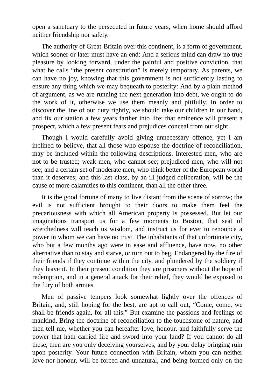open a sanctuary to the persecuted in future years, when home should afford neither friendship nor safety.

The authority of Great-Britain over this continent, is a form of government, which sooner or later must have an end: And a serious mind can draw no true pleasure by looking forward, under the painful and positive conviction, that what he calls "the present constitution" is merely temporary. As parents, we can have no joy, knowing that this government is not sufficiently lasting to ensure any thing which we may bequeath to posterity: And by a plain method of argument, as we are running the next generation into debt, we ought to do the work of it, otherwise we use them meanly and pitifully. In order to discover the line of our duty rightly, we should take our children in our hand, and fix our station a few years farther into life; that eminence will present a prospect, which a few present fears and prejudices conceal from our sight.

Though I would carefully avoid giving unnecessary offence, yet I am inclined to believe, that all those who espouse the doctrine of reconciliation, may be included within the following descriptions. Interested men, who are not to be trusted; weak men, who cannot see; prejudiced men, who will not see; and a certain set of moderate men, who think better of the European world than it deserves; and this last class, by an ill-judged deliberation, will be the cause of more calamities to this continent, than all the other three.

It is the good fortune of many to live distant from the scene of sorrow; the evil is not sufficient brought to their doors to make them feel the precariousness with which all American property is possessed. But let our imaginations transport us for a few moments to Boston, that seat of wretchedness will teach us wisdom, and instruct us for ever to renounce a power in whom we can have no trust. The inhabitants of that unfortunate city, who but a few months ago were in ease and affluence, have now, no other alternative than to stay and starve, or turn out to beg. Endangered by the fire of their friends if they continue within the city, and plundered by the soldiery if they leave it. In their present condition they are prisoners without the hope of redemption, and in a general attack for their relief, they would be exposed to the fury of both armies.

Men of passive tempers look somewhat lightly over the offences of Britain, and, still hoping for the best, are apt to call out, "Come, come, we shall be friends again, for all this." But examine the passions and feelings of mankind, Bring the doctrine of reconciliation to the touchstone of nature, and then tell me, whether you can hereafter love, honour, and faithfully serve the power that hath carried fire and sword into your land? If you cannot do all these, then are you only deceiving yourselves, and by your delay bringing ruin upon posterity. Your future connection with Britain, whom you can neither love nor honour, will be forced and unnatural, and being formed only on the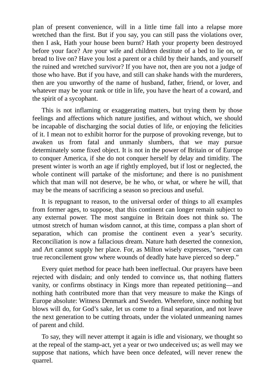plan of present convenience, will in a little time fall into a relapse more wretched than the first. But if you say, you can still pass the violations over, then I ask, Hath your house been burnt? Hath your property been destroyed before your face? Are your wife and children destitute of a bed to lie on, or bread to live on? Have you lost a parent or a child by their hands, and yourself the ruined and wretched survivor? If you have not, then are you not a judge of those who have. But if you have, and still can shake hands with the murderers, then are you unworthy of the name of husband, father, friend, or lover, and whatever may be your rank or title in life, you have the heart of a coward, and the spirit of a sycophant.

This is not inflaming or exaggerating matters, but trying them by those feelings and affections which nature justifies, and without which, we should be incapable of discharging the social duties of life, or enjoying the felicities of it. I mean not to exhibit horror for the purpose of provoking revenge, but to awaken us from fatal and unmanly slumbers, that we may pursue determinately some fixed object. It is not in the power of Britain or of Europe to conquer America, if she do not conquer herself by delay and timidity. The present winter is worth an age if rightly employed, but if lost or neglected, the whole continent will partake of the misfortune; and there is no punishment which that man will not deserve, be he who, or what, or where he will, that may be the means of sacrificing a season so precious and useful.

It is repugnant to reason, to the universal order of things to all examples from former ages, to suppose, that this continent can longer remain subject to any external power. The most sanguine in Britain does not think so. The utmost stretch of human wisdom cannot, at this time, compass a plan short of separation, which can promise the continent even a year's security. Reconciliation is now a fallacious dream. Nature hath deserted the connexion, and Art cannot supply her place. For, as Milton wisely expresses, "never can true reconcilement grow where wounds of deadly hate have pierced so deep."

Every quiet method for peace hath been ineffectual. Our prayers have been rejected with disdain; and only tended to convince us, that nothing flatters vanity, or confirms obstinacy in Kings more than repeated petitioning—and nothing hath contributed more than that very measure to make the Kings of Europe absolute: Witness Denmark and Sweden. Wherefore, since nothing but blows will do, for God's sake, let us come to a final separation, and not leave the next generation to be cutting throats, under the violated unmeaning names of parent and child.

To say, they will never attempt it again is idle and visionary, we thought so at the repeal of the stamp-act, yet a year or two undeceived us; as well may we suppose that nations, which have been once defeated, will never renew the quarrel.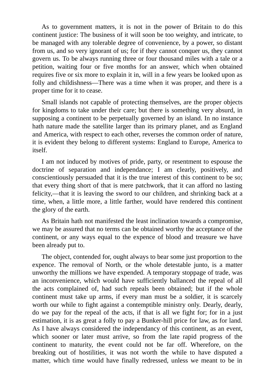As to government matters, it is not in the power of Britain to do this continent justice: The business of it will soon be too weighty, and intricate, to be managed with any tolerable degree of convenience, by a power, so distant from us, and so very ignorant of us; for if they cannot conquer us, they cannot govern us. To be always running three or four thousand miles with a tale or a petition, waiting four or five months for an answer, which when obtained requires five or six more to explain it in, will in a few years be looked upon as folly and childishness—There was a time when it was proper, and there is a proper time for it to cease.

Small islands not capable of protecting themselves, are the proper objects for kingdoms to take under their care; but there is something very absurd, in supposing a continent to be perpetually governed by an island. In no instance hath nature made the satellite larger than its primary planet, and as England and America, with respect to each other, reverses the common order of nature, it is evident they belong to different systems: England to Europe, America to itself.

I am not induced by motives of pride, party, or resentment to espouse the doctrine of separation and independance; I am clearly, positively, and conscientiously persuaded that it is the true interest of this continent to be so; that every thing short of that is mere patchwork, that it can afford no lasting felicity,—that it is leaving the sword to our children, and shrinking back at a time, when, a little more, a little farther, would have rendered this continent the glory of the earth.

As Britain hath not manifested the least inclination towards a compromise, we may be assured that no terms can be obtained worthy the acceptance of the continent, or any ways equal to the expence of blood and treasure we have been already put to.

The object, contended for, ought always to bear some just proportion to the expence. The removal of North, or the whole detestable junto, is a matter unworthy the millions we have expended. A temporary stoppage of trade, was an inconvenience, which would have sufficiently ballanced the repeal of all the acts complained of, had such repeals been obtained; but if the whole continent must take up arms, if every man must be a soldier, it is scarcely worth our while to fight against a contemptible ministry only. Dearly, dearly, do we pay for the repeal of the acts, if that is all we fight for; for in a just estimation, it is as great a folly to pay a Bunker-hill price for law, as for land. As I have always considered the independancy of this continent, as an event, which sooner or later must arrive, so from the late rapid progress of the continent to maturity, the event could not be far off. Wherefore, on the breaking out of hostilities, it was not worth the while to have disputed a matter, which time would have finally redressed, unless we meant to be in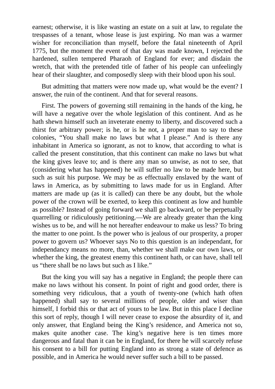earnest; otherwise, it is like wasting an estate on a suit at law, to regulate the trespasses of a tenant, whose lease is just expiring. No man was a warmer wisher for reconciliation than myself, before the fatal nineteenth of April 1775, but the moment the event of that day was made known, I rejected the hardened, sullen tempered Pharaoh of England for ever; and disdain the wretch, that with the pretended title of father of his people can unfeelingly hear of their slaughter, and composedly sleep with their blood upon his soul.

But admitting that matters were now made up, what would be the event? I answer, the ruin of the continent. And that for several reasons.

First. The powers of governing still remaining in the hands of the king, he will have a negative over the whole legislation of this continent. And as he hath shewn himself such an inveterate enemy to liberty, and discovered such a thirst for arbitrary power; is he, or is he not, a proper man to say to these colonies, "You shall make no laws but what I please." And is there any inhabitant in America so ignorant, as not to know, that according to what is called the present constitution, that this continent can make no laws but what the king gives leave to; and is there any man so unwise, as not to see, that (considering what has happened) he will suffer no law to be made here, but such as suit his purpose. We may be as effectually enslaved by the want of laws in America, as by submitting to laws made for us in England. After matters are made up (as it is called) can there be any doubt, but the whole power of the crown will be exerted, to keep this continent as low and humble as possible? Instead of going forward we shall go backward, or be perpetually quarrelling or ridiculously petitioning.—We are already greater than the king wishes us to be, and will he not hereafter endeavour to make us less? To bring the matter to one point. Is the power who is jealous of our prosperity, a proper power to govern us? Whoever says No to this question is an independant, for independancy means no more, than, whether we shall make our own laws, or whether the king, the greatest enemy this continent hath, or can have, shall tell us "there shall be no laws but such as I like."

But the king you will say has a negative in England; the people there can make no laws without his consent. In point of right and good order, there is something very ridiculous, that a youth of twenty-one (which hath often happened) shall say to several millions of people, older and wiser than himself, I forbid this or that act of yours to be law. But in this place I decline this sort of reply, though I will never cease to expose the absurdity of it, and only answer, that England being the King's residence, and America not so, makes quite another case. The king's negative here is ten times more dangerous and fatal than it can be in England, for there he will scarcely refuse his consent to a bill for putting England into as strong a state of defence as possible, and in America he would never suffer such a bill to be passed.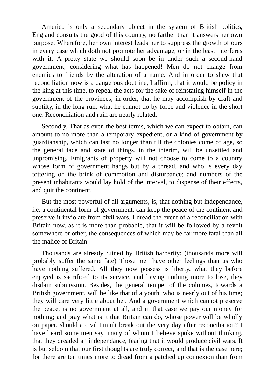America is only a secondary object in the system of British politics, England consults the good of this country, no farther than it answers her own purpose. Wherefore, her own interest leads her to suppress the growth of ours in every case which doth not promote her advantage, or in the least interferes with it. A pretty state we should soon be in under such a second-hand government, considering what has happened! Men do not change from enemies to friends by the alteration of a name: And in order to shew that reconciliation now is a dangerous doctrine, I affirm, that it would be policy in the king at this time, to repeal the acts for the sake of reinstating himself in the government of the provinces; in order, that he may accomplish by craft and subtilty, in the long run, what he cannot do by force and violence in the short one. Reconciliation and ruin are nearly related.

Secondly. That as even the best terms, which we can expect to obtain, can amount to no more than a temporary expedient, or a kind of government by guardianship, which can last no longer than till the colonies come of age, so the general face and state of things, in the interim, will be unsettled and unpromising. Emigrants of property will not choose to come to a country whose form of government hangs but by a thread, and who is every day tottering on the brink of commotion and disturbance; and numbers of the present inhabitants would lay hold of the interval, to dispense of their effects, and quit the continent.

But the most powerful of all arguments, is, that nothing but independance, i.e. a continental form of government, can keep the peace of the continent and preserve it inviolate from civil wars. I dread the event of a reconciliation with Britain now, as it is more than probable, that it will be followed by a revolt somewhere or other, the consequences of which may be far more fatal than all the malice of Britain.

Thousands are already ruined by British barbarity; (thousands more will probably suffer the same fate) Those men have other feelings than us who have nothing suffered. All they now possess is liberty, what they before enjoyed is sacrificed to its service, and having nothing more to lose, they disdain submission. Besides, the general temper of the colonies, towards a British government, will be like that of a youth, who is nearly out of his time; they will care very little about her. And a government which cannot preserve the peace, is no government at all, and in that case we pay our money for nothing; and pray what is it that Britain can do, whose power will be wholly on paper, should a civil tumult break out the very day after reconciliation? I have heard some men say, many of whom I believe spoke without thinking, that they dreaded an independance, fearing that it would produce civil wars. It is but seldom that our first thoughts are truly correct, and that is the case here; for there are ten times more to dread from a patched up connexion than from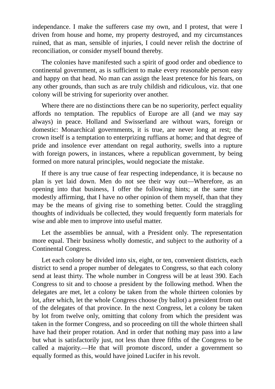independance. I make the sufferers case my own, and I protest, that were I driven from house and home, my property destroyed, and my circumstances ruined, that as man, sensible of injuries, I could never relish the doctrine of reconciliation, or consider myself bound thereby.

The colonies have manifested such a spirit of good order and obedience to continental government, as is sufficient to make every reasonable person easy and happy on that head. No man can assign the least pretence for his fears, on any other grounds, than such as are truly childish and ridiculous, viz. that one colony will be striving for superiority over another.

Where there are no distinctions there can be no superiority, perfect equality affords no temptation. The republics of Europe are all (and we may say always) in peace. Holland and Swisserland are without wars, foreign or domestic: Monarchical governments, it is true, are never long at rest; the crown itself is a temptation to enterprizing ruffians at home; and that degree of pride and insolence ever attendant on regal authority, swells into a rupture with foreign powers, in instances, where a republican government, by being formed on more natural principles, would negociate the mistake.

If there is any true cause of fear respecting independance, it is because no plan is yet laid down. Men do not see their way out—Wherefore, as an opening into that business, I offer the following hints; at the same time modestly affirming, that I have no other opinion of them myself, than that they may be the means of giving rise to something better. Could the straggling thoughts of individuals be collected, they would frequently form materials for wise and able men to improve into useful matter.

Let the assemblies be annual, with a President only. The representation more equal. Their business wholly domestic, and subject to the authority of a Continental Congress.

Let each colony be divided into six, eight, or ten, convenient districts, each district to send a proper number of delegates to Congress, so that each colony send at least thirty. The whole number in Congress will be at least 390. Each Congress to sit and to choose a president by the following method. When the delegates are met, let a colony be taken from the whole thirteen colonies by lot, after which, let the whole Congress choose (by ballot) a president from out of the delegates of that province. In the next Congress, let a colony be taken by lot from twelve only, omitting that colony from which the president was taken in the former Congress, and so proceeding on till the whole thirteen shall have had their proper rotation. And in order that nothing may pass into a law but what is satisfactorily just, not less than three fifths of the Congress to be called a majority.—He that will promote discord, under a government so equally formed as this, would have joined Lucifer in his revolt.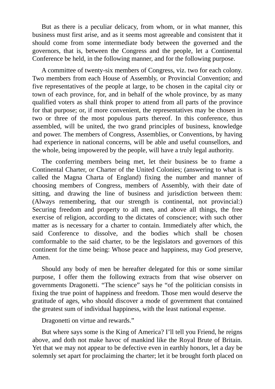But as there is a peculiar delicacy, from whom, or in what manner, this business must first arise, and as it seems most agreeable and consistent that it should come from some intermediate body between the governed and the governors, that is, between the Congress and the people, let a Continental Conference be held, in the following manner, and for the following purpose.

A committee of twenty-six members of Congress, viz. two for each colony. Two members from each House of Assembly, or Provincial Convention; and five representatives of the people at large, to be chosen in the capital city or town of each province, for, and in behalf of the whole province, by as many qualified voters as shall think proper to attend from all parts of the province for that purpose; or, if more convenient, the representatives may be chosen in two or three of the most populous parts thereof. In this conference, thus assembled, will be united, the two grand principles of business, knowledge and power. The members of Congress, Assemblies, or Conventions, by having had experience in national concerns, will be able and useful counsellors, and the whole, being impowered by the people, will have a truly legal authority.

The conferring members being met, let their business be to frame a Continental Charter, or Charter of the United Colonies; (answering to what is called the Magna Charta of England) fixing the number and manner of choosing members of Congress, members of Assembly, with their date of sitting, and drawing the line of business and jurisdiction between them: (Always remembering, that our strength is continental, not provincial:) Securing freedom and property to all men, and above all things, the free exercise of religion, according to the dictates of conscience; with such other matter as is necessary for a charter to contain. Immediately after which, the said Conference to dissolve, and the bodies which shall be chosen comformable to the said charter, to be the legislators and governors of this continent for the time being: Whose peace and happiness, may God preserve, Amen.

Should any body of men be hereafter delegated for this or some similar purpose, I offer them the following extracts from that wise observer on governments Dragonetti. "The science" says he "of the politician consists in fixing the true point of happiness and freedom. Those men would deserve the gratitude of ages, who should discover a mode of government that contained the greatest sum of individual happiness, with the least national expense.

Dragonetti on virtue and rewards."

But where says some is the King of America? I'll tell you Friend, he reigns above, and doth not make havoc of mankind like the Royal Brute of Britain. Yet that we may not appear to be defective even in earthly honors, let a day be solemnly set apart for proclaiming the charter; let it be brought forth placed on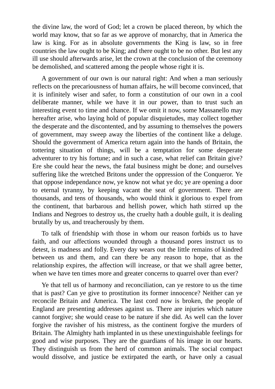the divine law, the word of God; let a crown be placed thereon, by which the world may know, that so far as we approve of monarchy, that in America the law is king. For as in absolute governments the King is law, so in free countries the law ought to be King; and there ought to be no other. But lest any ill use should afterwards arise, let the crown at the conclusion of the ceremony be demolished, and scattered among the people whose right it is.

A government of our own is our natural right: And when a man seriously reflects on the precariousness of human affairs, he will become convinced, that it is infinitely wiser and safer, to form a constitution of our own in a cool deliberate manner, while we have it in our power, than to trust such an interesting event to time and chance. If we omit it now, some Massanello may hereafter arise, who laying hold of popular disquietudes, may collect together the desperate and the discontented, and by assuming to themselves the powers of government, may sweep away the liberties of the continent like a deluge. Should the government of America return again into the hands of Britain, the tottering situation of things, will be a temptation for some desperate adventurer to try his fortune; and in such a case, what relief can Britain give? Ere she could hear the news, the fatal business might be done; and ourselves suffering like the wretched Britons under the oppression of the Conqueror. Ye that oppose independance now, ye know not what ye do; ye are opening a door to eternal tyranny, by keeping vacant the seat of government. There are thousands, and tens of thousands, who would think it glorious to expel from the continent, that barbarous and hellish power, which hath stirred up the Indians and Negroes to destroy us, the cruelty hath a double guilt, it is dealing brutally by us, and treacherously by them.

To talk of friendship with those in whom our reason forbids us to have faith, and our affections wounded through a thousand pores instruct us to detest, is madness and folly. Every day wears out the little remains of kindred between us and them, and can there be any reason to hope, that as the relationship expires, the affection will increase, or that we shall agree better, when we have ten times more and greater concerns to quarrel over than ever?

Ye that tell us of harmony and reconciliation, can ye restore to us the time that is past? Can ye give to prostitution its former innocence? Neither can ye reconcile Britain and America. The last cord now is broken, the people of England are presenting addresses against us. There are injuries which nature cannot forgive; she would cease to be nature if she did. As well can the lover forgive the ravisher of his mistress, as the continent forgive the murders of Britain. The Almighty hath implanted in us these unextinguishable feelings for good and wise purposes. They are the guardians of his image in our hearts. They distinguish us from the herd of common animals. The social compact would dissolve, and justice be extirpated the earth, or have only a casual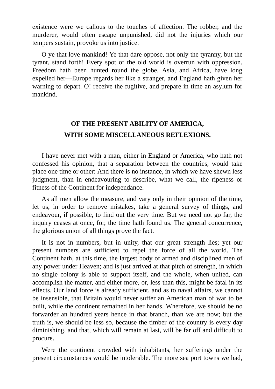existence were we callous to the touches of affection. The robber, and the murderer, would often escape unpunished, did not the injuries which our tempers sustain, provoke us into justice.

O ye that love mankind! Ye that dare oppose, not only the tyranny, but the tyrant, stand forth! Every spot of the old world is overrun with oppression. Freedom hath been hunted round the globe. Asia, and Africa, have long expelled her—Europe regards her like a stranger, and England hath given her warning to depart. O! receive the fugitive, and prepare in time an asylum for mankind.

### **OF THE PRESENT ABILITY OF AMERICA, WITH SOME MISCELLANEOUS REFLEXIONS.**

I have never met with a man, either in England or America, who hath not confessed his opinion, that a separation between the countries, would take place one time or other: And there is no instance, in which we have shewn less judgment, than in endeavouring to describe, what we call, the ripeness or fitness of the Continent for independance.

As all men allow the measure, and vary only in their opinion of the time, let us, in order to remove mistakes, take a general survey of things, and endeavour, if possible, to find out the very time. But we need not go far, the inquiry ceases at once, for, the time hath found us. The general concurrence, the glorious union of all things prove the fact.

It is not in numbers, but in unity, that our great strength lies; yet our present numbers are sufficient to repel the force of all the world. The Continent hath, at this time, the largest body of armed and disciplined men of any power under Heaven; and is just arrived at that pitch of strength, in which no single colony is able to support itself, and the whole, when united, can accomplish the matter, and either more, or, less than this, might be fatal in its effects. Our land force is already sufficient, and as to naval affairs, we cannot be insensible, that Britain would never suffer an American man of war to be built, while the continent remained in her hands. Wherefore, we should be no forwarder an hundred years hence in that branch, than we are now; but the truth is, we should be less so, because the timber of the country is every day diminishing, and that, which will remain at last, will be far off and difficult to procure.

Were the continent crowded with inhabitants, her sufferings under the present circumstances would be intolerable. The more sea port towns we had,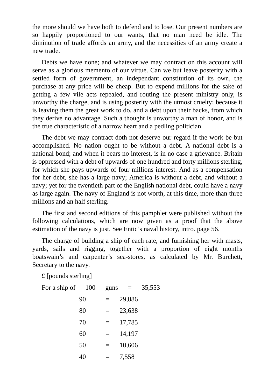the more should we have both to defend and to lose. Our present numbers are so happily proportioned to our wants, that no man need be idle. The diminution of trade affords an army, and the necessities of an army create a new trade.

Debts we have none; and whatever we may contract on this account will serve as a glorious memento of our virtue. Can we but leave posterity with a settled form of government, an independant constitution of its own, the purchase at any price will be cheap. But to expend millions for the sake of getting a few vile acts repealed, and routing the present ministry only, is unworthy the charge, and is using posterity with the utmost cruelty; because it is leaving them the great work to do, and a debt upon their backs, from which they derive no advantage. Such a thought is unworthy a man of honor, and is the true characteristic of a narrow heart and a pedling politician.

The debt we may contract doth not deserve our regard if the work be but accomplished. No nation ought to be without a debt. A national debt is a national bond; and when it bears no interest, is in no case a grievance. Britain is oppressed with a debt of upwards of one hundred and forty millions sterling, for which she pays upwards of four millions interest. And as a compensation for her debt, she has a large navy; America is without a debt, and without a navy; yet for the twentieth part of the English national debt, could have a navy as large again. The navy of England is not worth, at this time, more than three millions and an half sterling.

The first and second editions of this pamphlet were published without the following calculations, which are now given as a proof that the above estimation of the navy is just. See Entic's naval history, intro. page 56.

The charge of building a ship of each rate, and furnishing her with masts, yards, sails and rigging, together with a proportion of eight months boatswain's and carpenter's sea-stores, as calculated by Mr. Burchett, Secretary to the navy.

£ [pounds sterling]

For a ship of  $100$  guns =  $35,553$  $90 = 29.886$  $80 = 23,638$ 70 = 17,785 60 =  $14,197$  $50 = 10,606$  $40 = 7,558$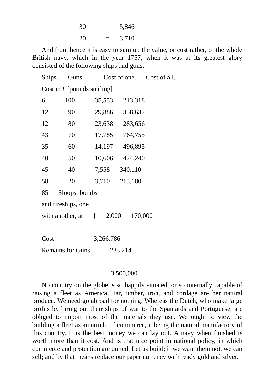| 30 | _<br>٠ | 5,846 |
|----|--------|-------|
| 20 | $=$    | 3,710 |

And from hence it is easy to sum up the value, or cost rather, of the whole British navy, which in the year 1757, when it was at its greatest glory consisted of the following ships and guns:

|                                    | Ships. Guns.             | Cost of one. Cost of all. |                  |  |  |  |
|------------------------------------|--------------------------|---------------------------|------------------|--|--|--|
| Cost in £ [pounds sterling]        |                          |                           |                  |  |  |  |
| 6                                  | 100                      | 35,553                    | 213,318          |  |  |  |
| 12                                 | 90                       | 29,886                    | 358,632          |  |  |  |
| 12                                 | 80                       | 23,638                    | 283,656          |  |  |  |
| 43                                 | 70                       |                           | 17,785 764,755   |  |  |  |
| 35                                 | 60                       |                           | 14,197 496,895   |  |  |  |
| 40                                 | 50                       |                           | 10,606 424,240   |  |  |  |
| 45                                 | 40                       |                           | 7,558 340,110    |  |  |  |
| 58                                 | 20                       |                           | 3,710 215,180    |  |  |  |
| Sloops, bombs<br>85                |                          |                           |                  |  |  |  |
| and fireships, one                 |                          |                           |                  |  |  |  |
|                                    | with another, at {\bmg } |                           | 2,000<br>170,000 |  |  |  |
|                                    |                          |                           |                  |  |  |  |
| Cost                               | 3,266,786                |                           |                  |  |  |  |
| <b>Remains for Guns</b><br>233,214 |                          |                           |                  |  |  |  |
|                                    |                          |                           |                  |  |  |  |

#### 3,500,000

No country on the globe is so happily situated, or so internally capable of raising a fleet as America. Tar, timber, iron, and cordage are her natural produce. We need go abroad for nothing. Whereas the Dutch, who make large profits by hiring out their ships of war to the Spaniards and Portuguese, are obliged to import most of the materials they use. We ought to view the building a fleet as an article of commerce, it being the natural manufactory of this country. It is the best money we can lay out. A navy when finished is worth more than it cost. And is that nice point in national policy, in which commerce and protection are united. Let us build; if we want them not, we can sell; and by that means replace our paper currency with ready gold and silver.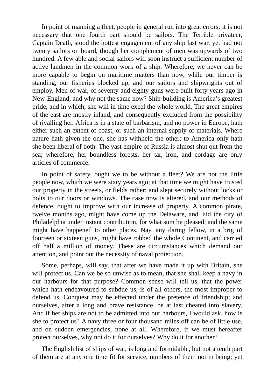In point of manning a fleet, people in general run into great errors; it is not necessary that one fourth part should be sailors. The Terrible privateer, Captain Death, stood the hottest engagement of any ship last war, yet had not twenty sailors on board, though her complement of men was upwards of two hundred. A few able and social sailors will soon instruct a sufficient number of active landmen in the common work of a ship. Wherefore, we never can be more capable to begin on maritime matters than now, while our timber is standing, our fisheries blocked up, and our sailors and shipwrights out of employ. Men of war, of seventy and eighty guns were built forty years ago in New-England, and why not the same now? Ship-building is America's greatest pride, and in which, she will in time excel the whole world. The great empires of the east are mostly inland, and consequently excluded from the possibility of rivalling her. Africa is in a state of barbarism; and no power in Europe, hath either such an extent of coast, or such an internal supply of materials. Where nature hath given the one, she has withheld the other; to America only hath she been liberal of both. The vast empire of Russia is almost shut out from the sea; wherefore, her boundless forests, her tar, iron, and cordage are only articles of commerce.

In point of safety, ought we to be without a fleet? We are not the little people now, which we were sixty years ago; at that time we might have trusted our property in the streets, or fields rather; and slept securely without locks or bolts to our doors or windows. The case now is altered, and our methods of defence, ought to improve with our increase of property. A common pirate, twelve months ago, might have come up the Delaware, and laid the city of Philadelphia under instant contribution, for what sum he pleased; and the same might have happened to other places. Nay, any daring fellow, in a brig of fourteen or sixteen guns, might have robbed the whole Continent, and carried off half a million of money. These are circumstances which demand our attention, and point out the necessity of naval protection.

Some, perhaps, will say, that after we have made it up with Britain, she will protect us. Can we be so unwise as to mean, that she shall keep a navy in our harbours for that purpose? Common sense will tell us, that the power which hath endeavoured to subdue us, is of all others, the most improper to defend us. Conquest may be effected under the pretence of friendship; and ourselves, after a long and brave resistance, be at last cheated into slavery. And if her ships are not to be admitted into our harbours, I would ask, how is she to protect us? A navy three or four thousand miles off can be of little use, and on sudden emergencies, none at all. Wherefore, if we must hereafter protect ourselves, why not do it for ourselves? Why do it for another?

The English list of ships of war, is long and formidable, but not a tenth part of them are at any one time fit for service, numbers of them not in being; yet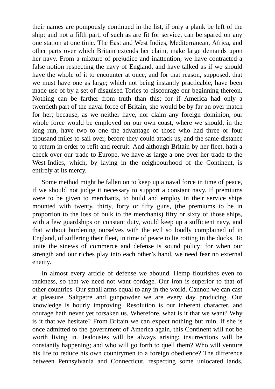their names are pompously continued in the list, if only a plank be left of the ship: and not a fifth part, of such as are fit for service, can be spared on any one station at one time. The East and West Indies, Mediterranean, Africa, and other parts over which Britain extends her claim, make large demands upon her navy. From a mixture of prejudice and inattention, we have contracted a false notion respecting the navy of England, and have talked as if we should have the whole of it to encounter at once, and for that reason, supposed, that we must have one as large; which not being instantly practicable, have been made use of by a set of disguised Tories to discourage our beginning thereon. Nothing can be farther from truth than this; for if America had only a twentieth part of the naval force of Britain, she would be by far an over match for her; because, as we neither have, nor claim any foreign dominion, our whole force would be employed on our own coast, where we should, in the long run, have two to one the advantage of those who had three or four thousand miles to sail over, before they could attack us, and the same distance to return in order to refit and recruit. And although Britain by her fleet, hath a check over our trade to Europe, we have as large a one over her trade to the West-Indies, which, by laying in the neighbourhood of the Continent, is entirely at its mercy.

Some method might be fallen on to keep up a naval force in time of peace, if we should not judge it necessary to support a constant navy. If premiums were to be given to merchants, to build and employ in their service ships mounted with twenty, thirty, forty or fifty guns, (the premiums to be in proportion to the loss of bulk to the merchants) fifty or sixty of those ships, with a few guardships on constant duty, would keep up a sufficient navy, and that without burdening ourselves with the evil so loudly complained of in England, of suffering their fleet, in time of peace to lie rotting in the docks. To unite the sinews of commerce and defense is sound policy; for when our strength and our riches play into each other's hand, we need fear no external enemy.

In almost every article of defense we abound. Hemp flourishes even to rankness, so that we need not want cordage. Our iron is superior to that of other countries. Our small arms equal to any in the world. Cannon we can cast at pleasure. Saltpetre and gunpowder we are every day producing. Our knowledge is hourly improving. Resolution is our inherent character, and courage hath never yet forsaken us. Wherefore, what is it that we want? Why is it that we hesitate? From Britain we can expect nothing but ruin. If she is once admitted to the government of America again, this Continent will not be worth living in. Jealousies will be always arising; insurrections will be constantly happening; and who will go forth to quell them? Who will venture his life to reduce his own countrymen to a foreign obedience? The difference between Pennsylvania and Connecticut, respecting some unlocated lands,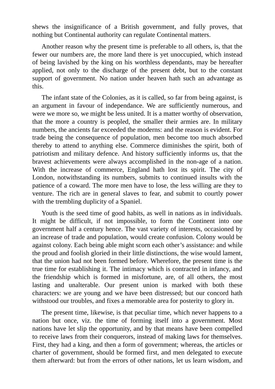shews the insignificance of a British government, and fully proves, that nothing but Continental authority can regulate Continental matters.

Another reason why the present time is preferable to all others, is, that the fewer our numbers are, the more land there is yet unoccupied, which instead of being lavished by the king on his worthless dependants, may be hereafter applied, not only to the discharge of the present debt, but to the constant support of government. No nation under heaven hath such an advantage as this.

The infant state of the Colonies, as it is called, so far from being against, is an argument in favour of independance. We are sufficiently numerous, and were we more so, we might be less united. It is a matter worthy of observation, that the more a country is peopled, the smaller their armies are. In military numbers, the ancients far exceeded the moderns: and the reason is evident. For trade being the consequence of population, men become too much absorbed thereby to attend to anything else. Commerce diminishes the spirit, both of patriotism and military defence. And history sufficiently informs us, that the bravest achievements were always accomplished in the non-age of a nation. With the increase of commerce, England hath lost its spirit. The city of London, notwithstanding its numbers, submits to continued insults with the patience of a coward. The more men have to lose, the less willing are they to venture. The rich are in general slaves to fear, and submit to courtly power with the trembling duplicity of a Spaniel.

Youth is the seed time of good habits, as well in nations as in individuals. It might be difficult, if not impossible, to form the Continent into one government half a century hence. The vast variety of interests, occasioned by an increase of trade and population, would create confusion. Colony would be against colony. Each being able might scorn each other's assistance: and while the proud and foolish gloried in their little distinctions, the wise would lament, that the union had not been formed before. Wherefore, the present time is the true time for establishing it. The intimacy which is contracted in infancy, and the friendship which is formed in misfortune, are, of all others, the most lasting and unalterable. Our present union is marked with both these characters: we are young and we have been distressed; but our concord hath withstood our troubles, and fixes a memorable area for posterity to glory in.

The present time, likewise, is that peculiar time, which never happens to a nation but once, viz. the time of forming itself into a government. Most nations have let slip the opportunity, and by that means have been compelled to receive laws from their conquerors, instead of making laws for themselves. First, they had a king, and then a form of government; whereas, the articles or charter of government, should be formed first, and men delegated to execute them afterward: but from the errors of other nations, let us learn wisdom, and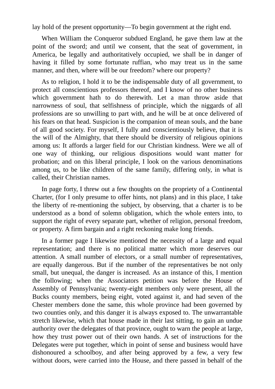lay hold of the present opportunity—To begin government at the right end.

When William the Conqueror subdued England, he gave them law at the point of the sword; and until we consent, that the seat of government, in America, be legally and authoritatively occupied, we shall be in danger of having it filled by some fortunate ruffian, who may treat us in the same manner, and then, where will be our freedom? where our property?

As to religion, I hold it to be the indispensable duty of all government, to protect all conscientious professors thereof, and I know of no other business which government hath to do therewith. Let a man throw aside that narrowness of soul, that selfishness of principle, which the niggards of all professions are so unwilling to part with, and he will be at once delivered of his fears on that head. Suspicion is the companion of mean souls, and the bane of all good society. For myself, I fully and conscientiously believe, that it is the will of the Almighty, that there should be diversity of religious opinions among us: It affords a larger field for our Christian kindness. Were we all of one way of thinking, our religious dispositions would want matter for probation; and on this liberal principle, I look on the various denominations among us, to be like children of the same family, differing only, in what is called, their Christian names.

In page forty, I threw out a few thoughts on the propriety of a Continental Charter, (for I only presume to offer hints, not plans) and in this place, I take the liberty of re-mentioning the subject, by observing, that a charter is to be understood as a bond of solemn obligation, which the whole enters into, to support the right of every separate part, whether of religion, personal freedom, or property. A firm bargain and a right reckoning make long friends.

In a former page I likewise mentioned the necessity of a large and equal representation; and there is no political matter which more deserves our attention. A small number of electors, or a small number of representatives, are equally dangerous. But if the number of the representatives be not only small, but unequal, the danger is increased. As an instance of this, I mention the following; when the Associators petition was before the House of Assembly of Pennsylvania; twenty-eight members only were present, all the Bucks county members, being eight, voted against it, and had seven of the Chester members done the same, this whole province had been governed by two counties only, and this danger it is always exposed to. The unwarrantable stretch likewise, which that house made in their last sitting, to gain an undue authority over the delegates of that province, ought to warn the people at large, how they trust power out of their own hands. A set of instructions for the Delegates were put together, which in point of sense and business would have dishonoured a schoolboy, and after being approved by a few, a very few without doors, were carried into the House, and there passed in behalf of the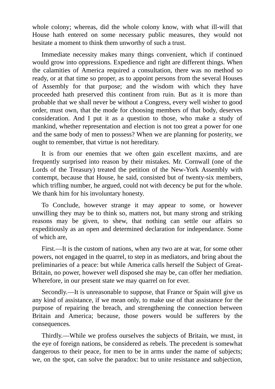whole colony; whereas, did the whole colony know, with what ill-will that House hath entered on some necessary public measures, they would not hesitate a moment to think them unworthy of such a trust.

Immediate necessity makes many things convenient, which if continued would grow into oppressions. Expedience and right are different things. When the calamities of America required a consultation, there was no method so ready, or at that time so proper, as to appoint persons from the several Houses of Assembly for that purpose; and the wisdom with which they have proceeded hath preserved this continent from ruin. But as it is more than probable that we shall never be without a Congress, every well wisher to good order, must own, that the mode for choosing members of that body, deserves consideration. And I put it as a question to those, who make a study of mankind, whether representation and election is not too great a power for one and the same body of men to possess? When we are planning for posterity, we ought to remember, that virtue is not hereditary.

It is from our enemies that we often gain excellent maxims, and are frequently surprised into reason by their mistakes. Mr. Cornwall (one of the Lords of the Treasury) treated the petition of the New-York Assembly with contempt, because that House, he said, consisted but of twenty-six members, which trifling number, he argued, could not with decency be put for the whole. We thank him for his involuntary honesty.

To Conclude, however strange it may appear to some, or however unwilling they may be to think so, matters not, but many strong and striking reasons may be given, to shew, that nothing can settle our affairs so expeditiously as an open and determined declaration for independance. Some of which are,

First.—It is the custom of nations, when any two are at war, for some other powers, not engaged in the quarrel, to step in as mediators, and bring about the preliminaries of a peace: but while America calls herself the Subject of Great-Britain, no power, however well disposed she may be, can offer her mediation. Wherefore, in our present state we may quarrel on for ever.

Secondly.—It is unreasonable to suppose, that France or Spain will give us any kind of assistance, if we mean only, to make use of that assistance for the purpose of repairing the breach, and strengthening the connection between Britain and America; because, those powers would be sufferers by the consequences.

Thirdly.—While we profess ourselves the subjects of Britain, we must, in the eye of foreign nations, be considered as rebels. The precedent is somewhat dangerous to their peace, for men to be in arms under the name of subjects; we, on the spot, can solve the paradox: but to unite resistance and subjection,